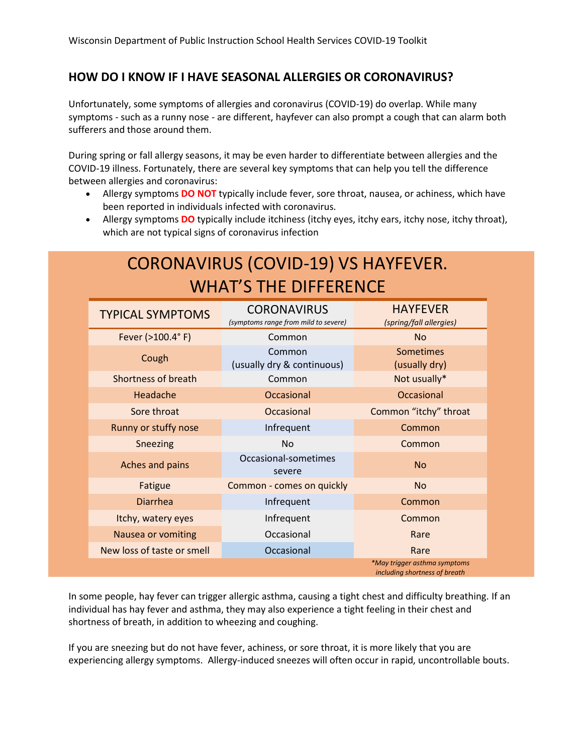## **HOW DO I KNOW IF I HAVE SEASONAL ALLERGIES OR CORONAVIRUS?**

Unfortunately, some symptoms of allergies and coronavirus (COVID-19) do overlap. While many symptoms - such as a runny nose - are different, hayfever can also prompt a cough that can alarm both sufferers and those around them.

During spring or fall allergy seasons, it may be even harder to differentiate between allergies and the COVID-19 illness. Fortunately, there are several key symptoms that can help you tell the difference between allergies and coronavirus:

- Allergy symptoms **DO NOT** typically include fever, sore throat, nausea, or achiness, which have been reported in individuals infected with coronavirus.
- Allergy symptoms **DO** typically include itchiness (itchy eyes, itchy ears, itchy nose, itchy throat), which are not typical signs of coronavirus infection

## CORONAVIRUS (COVID-19) VS HAYFEVER. WHAT'S THE DIFFERENCE

| <b>TYPICAL SYMPTOMS</b>    | <b>CORONAVIRUS</b><br>(symptoms range from mild to severe) | <b>HAYFEVER</b><br>(spring/fall allergies)                    |
|----------------------------|------------------------------------------------------------|---------------------------------------------------------------|
| Fever (>100.4°F)           | Common                                                     | N <sub>o</sub>                                                |
| Cough                      | Common<br>(usually dry & continuous)                       | <b>Sometimes</b><br>(usually dry)                             |
| Shortness of breath        | Common                                                     | Not usually*                                                  |
| Headache                   | Occasional                                                 | Occasional                                                    |
| Sore throat                | Occasional                                                 | Common "itchy" throat                                         |
| Runny or stuffy nose       | Infrequent                                                 | Common                                                        |
| Sneezing                   | <b>No</b>                                                  | Common                                                        |
| Aches and pains            | Occasional-sometimes<br>severe                             | <b>No</b>                                                     |
| Fatigue                    | Common - comes on quickly                                  | <b>No</b>                                                     |
| <b>Diarrhea</b>            | Infrequent                                                 | Common                                                        |
| Itchy, watery eyes         | Infrequent                                                 | Common                                                        |
| Nausea or vomiting         | Occasional                                                 | Rare                                                          |
| New loss of taste or smell | Occasional                                                 | Rare                                                          |
|                            |                                                            | *May trigger asthma symptoms<br>including shortness of breath |

In some people, hay fever can trigger allergic asthma, causing a tight chest and difficulty breathing. If an individual has hay fever and asthma, they may also experience a tight feeling in their chest and shortness of breath, in addition to wheezing and coughing.

If you are sneezing but do not have fever, achiness, or sore throat, it is more likely that you are experiencing allergy symptoms. Allergy-induced sneezes will often occur in rapid, uncontrollable bouts.